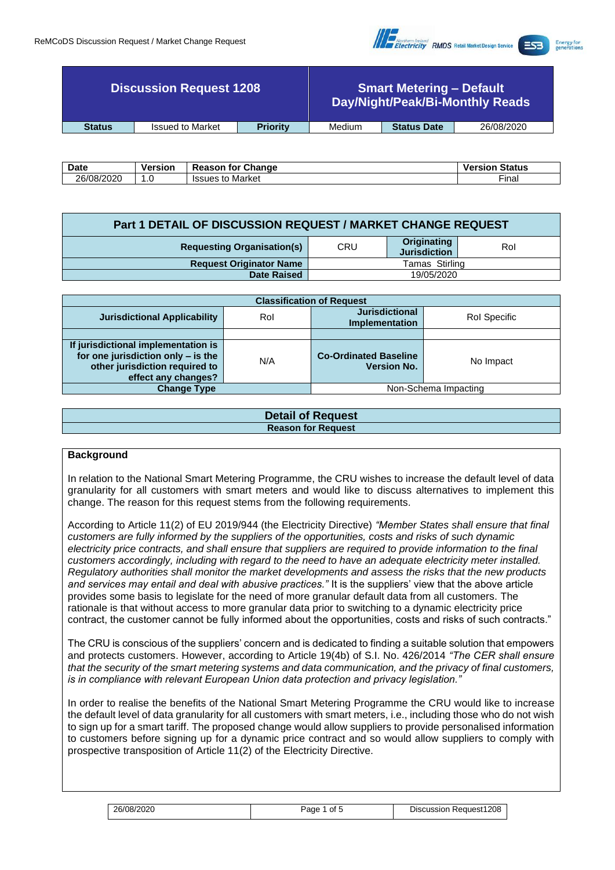

| <b>Discussion Request 1208</b> |                         |                 |        | <b>Smart Metering - Default</b> | Day/Night/Peak/Bi-Monthly Reads |
|--------------------------------|-------------------------|-----------------|--------|---------------------------------|---------------------------------|
| <b>Status</b>                  | <b>Issued to Market</b> | <b>Priority</b> | Medium | <b>Status Date</b>              | 26/08/2020                      |

| <b>Date</b> | <b>Version</b> | Change<br>tor<br>≀eason      | <b>Status</b><br>versior |
|-------------|----------------|------------------------------|--------------------------|
| 26/08/2020  | . . U          | Market<br><b>ISSUES</b><br>w | --<br>∙ınal              |

| Part 1 DETAIL OF DISCUSSION REQUEST / MARKET CHANGE REQUEST |                |                                    |     |  |  |  |
|-------------------------------------------------------------|----------------|------------------------------------|-----|--|--|--|
| <b>Requesting Organisation(s)</b>                           | <b>CRU</b>     | Originating<br><b>Jurisdiction</b> | Rol |  |  |  |
| <b>Request Originator Name</b>                              | Tamas Stirling |                                    |     |  |  |  |
| <b>Date Raised</b>                                          | 19/05/2020     |                                    |     |  |  |  |

| <b>Classification of Request</b>                                                                                                   |     |                                                    |                      |  |  |  |
|------------------------------------------------------------------------------------------------------------------------------------|-----|----------------------------------------------------|----------------------|--|--|--|
| <b>Jurisdictional Applicability</b>                                                                                                | Rol | <b>Jurisdictional</b><br><b>Implementation</b>     | Rol Specific         |  |  |  |
|                                                                                                                                    |     |                                                    |                      |  |  |  |
| If jurisdictional implementation is<br>for one jurisdiction only - is the<br>other jurisdiction required to<br>effect any changes? | N/A | <b>Co-Ordinated Baseline</b><br><b>Version No.</b> | No Impact            |  |  |  |
| <b>Change Type</b>                                                                                                                 |     |                                                    | Non-Schema Impacting |  |  |  |

| <b>Detail of Request</b>  |
|---------------------------|
| <b>Reason for Request</b> |
|                           |

### **Background**

In relation to the National Smart Metering Programme, the CRU wishes to increase the default level of data granularity for all customers with smart meters and would like to discuss alternatives to implement this change. The reason for this request stems from the following requirements.

According to Article 11(2) of EU 2019/944 (the Electricity Directive) *"Member States shall ensure that final customers are fully informed by the suppliers of the opportunities, costs and risks of such dynamic electricity price contracts, and shall ensure that suppliers are required to provide information to the final customers accordingly, including with regard to the need to have an adequate electricity meter installed. Regulatory authorities shall monitor the market developments and assess the risks that the new products and services may entail and deal with abusive practices."* It is the suppliers' view that the above article provides some basis to legislate for the need of more granular default data from all customers. The rationale is that without access to more granular data prior to switching to a dynamic electricity price contract, the customer cannot be fully informed about the opportunities, costs and risks of such contracts."

The CRU is conscious of the suppliers' concern and is dedicated to finding a suitable solution that empowers and protects customers. However, according to Article 19(4b) of S.I. No. 426/2014 *"The CER shall ensure that the security of the smart metering systems and data communication, and the privacy of final customers, is in compliance with relevant European Union data protection and privacy legislation."*

In order to realise the benefits of the National Smart Metering Programme the CRU would like to increase the default level of data granularity for all customers with smart meters, i.e., including those who do not wish to sign up for a smart tariff. The proposed change would allow suppliers to provide personalised information to customers before signing up for a dynamic price contract and so would allow suppliers to comply with prospective transposition of Article 11(2) of the Electricity Directive.

| 26/08/2020 | Page<br>0t | <b>Discussion Request1208</b> |
|------------|------------|-------------------------------|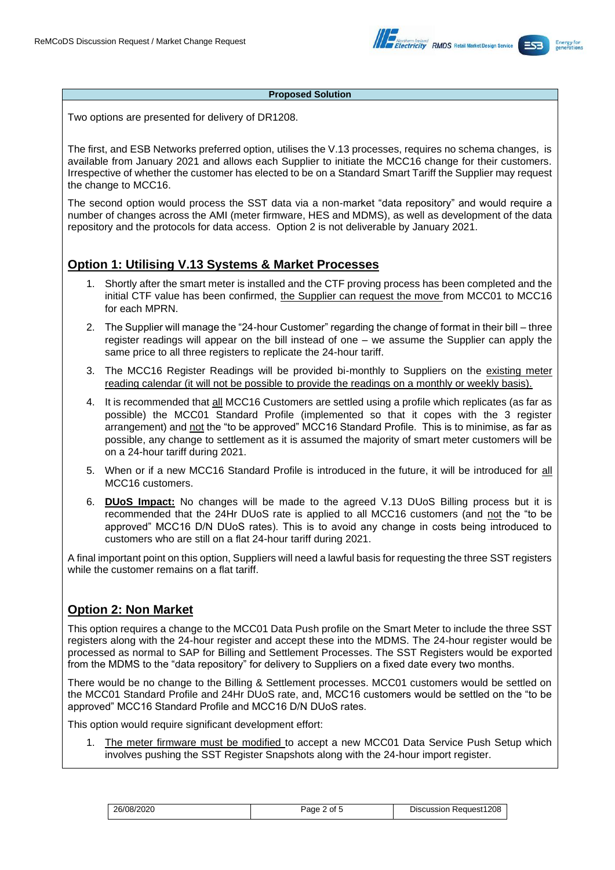

#### **Proposed Solution**

Two options are presented for delivery of DR1208.

The first, and ESB Networks preferred option, utilises the V.13 processes, requires no schema changes, is available from January 2021 and allows each Supplier to initiate the MCC16 change for their customers. Irrespective of whether the customer has elected to be on a Standard Smart Tariff the Supplier may request the change to MCC16.

The second option would process the SST data via a non-market "data repository" and would require a number of changes across the AMI (meter firmware, HES and MDMS), as well as development of the data repository and the protocols for data access. Option 2 is not deliverable by January 2021.

## **Option 1: Utilising V.13 Systems & Market Processes**

- 1. Shortly after the smart meter is installed and the CTF proving process has been completed and the initial CTF value has been confirmed, the Supplier can request the move from MCC01 to MCC16 for each MPRN.
- 2. The Supplier will manage the "24-hour Customer" regarding the change of format in their bill three register readings will appear on the bill instead of one – we assume the Supplier can apply the same price to all three registers to replicate the 24-hour tariff.
- 3. The MCC16 Register Readings will be provided bi-monthly to Suppliers on the existing meter reading calendar (it will not be possible to provide the readings on a monthly or weekly basis).
- 4. It is recommended that all MCC16 Customers are settled using a profile which replicates (as far as possible) the MCC01 Standard Profile (implemented so that it copes with the 3 register arrangement) and not the "to be approved" MCC16 Standard Profile. This is to minimise, as far as possible, any change to settlement as it is assumed the majority of smart meter customers will be on a 24-hour tariff during 2021.
- 5. When or if a new MCC16 Standard Profile is introduced in the future, it will be introduced for all MCC16 customers.
- 6. **DUoS Impact:** No changes will be made to the agreed V.13 DUoS Billing process but it is recommended that the 24Hr DUoS rate is applied to all MCC16 customers (and not the "to be approved" MCC16 D/N DUoS rates). This is to avoid any change in costs being introduced to customers who are still on a flat 24-hour tariff during 2021.

A final important point on this option, Suppliers will need a lawful basis for requesting the three SST registers while the customer remains on a flat tariff.

# **Option 2: Non Market**

This option requires a change to the MCC01 Data Push profile on the Smart Meter to include the three SST registers along with the 24-hour register and accept these into the MDMS. The 24-hour register would be processed as normal to SAP for Billing and Settlement Processes. The SST Registers would be exported from the MDMS to the "data repository" for delivery to Suppliers on a fixed date every two months.

There would be no change to the Billing & Settlement processes. MCC01 customers would be settled on the MCC01 Standard Profile and 24Hr DUoS rate, and, MCC16 customers would be settled on the "to be approved" MCC16 Standard Profile and MCC16 D/N DUoS rates.

This option would require significant development effort:

1. The meter firmware must be modified to accept a new MCC01 Data Service Push Setup which involves pushing the SST Register Snapshots along with the 24-hour import register.

| 26/08/2020 | Page 2 of 5 | Discussion Request1208 |
|------------|-------------|------------------------|
|            |             |                        |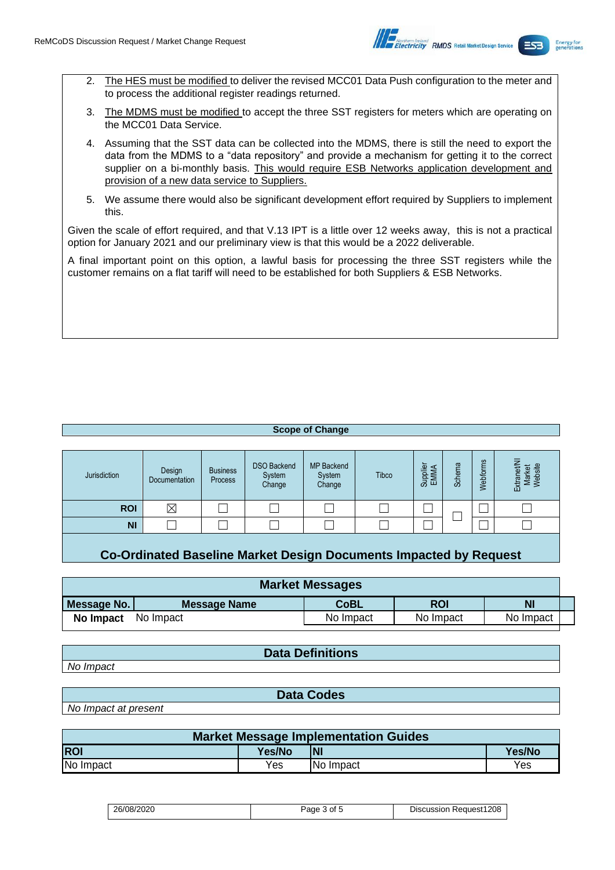

- 2. The HES must be modified to deliver the revised MCC01 Data Push configuration to the meter and to process the additional register readings returned.
- 3. The MDMS must be modified to accept the three SST registers for meters which are operating on the MCC01 Data Service.
- 4. Assuming that the SST data can be collected into the MDMS, there is still the need to export the data from the MDMS to a "data repository" and provide a mechanism for getting it to the correct supplier on a bi-monthly basis. This would require ESB Networks application development and provision of a new data service to Suppliers.
- 5. We assume there would also be significant development effort required by Suppliers to implement this.

Given the scale of effort required, and that V.13 IPT is a little over 12 weeks away, this is not a practical option for January 2021 and our preliminary view is that this would be a 2022 deliverable.

A final important point on this option, a lawful basis for processing the three SST registers while the customer remains on a flat tariff will need to be established for both Suppliers & ESB Networks.

#### **Scope of Change**

| Jurisdiction | Design<br>Documentation | <b>Business</b><br>Process | <b>DSO Backend</b><br>System<br>Change | <b>MP Backend</b><br>System<br>Change | <b>Tibco</b> | Supplier<br>EMMA | $\overline{\omega}$<br>৯<br><br>Ō | ΓĚ<br>Webforn | ⇁<br>Market<br>Website<br>ಕ<br>ത<br>ē<br>ᇟ |
|--------------|-------------------------|----------------------------|----------------------------------------|---------------------------------------|--------------|------------------|-----------------------------------|---------------|--------------------------------------------|
| <b>ROI</b>   | $\boxtimes$             |                            |                                        |                                       |              |                  |                                   |               |                                            |
| <b>NI</b>    |                         |                            |                                        |                                       |              |                  |                                   |               |                                            |

**Co-Ordinated Baseline Market Design Documents Impacted by Request**

| <b>Market Messages</b> |              |           |            |           |  |  |
|------------------------|--------------|-----------|------------|-----------|--|--|
| Message No.            | Message Name | CoBL      | <b>ROI</b> | <b>N</b>  |  |  |
| No Impact              | No Impact    | No Impact | No Impact  | No Impact |  |  |

**Data Definitions**

*No Impact*

**Data Codes**

*No Impact at present*

| Market Message Implementation Guides |        |                  |        |  |  |  |
|--------------------------------------|--------|------------------|--------|--|--|--|
| <b>ROI</b>                           | Yes/No | <b>NI</b>        | Yes/No |  |  |  |
| No Impact                            | Yes    | <b>No Impact</b> | Yes    |  |  |  |

| 26/08/2020 | 3 of 5<br>Page | <b>Discussion Request1208</b> |
|------------|----------------|-------------------------------|
|------------|----------------|-------------------------------|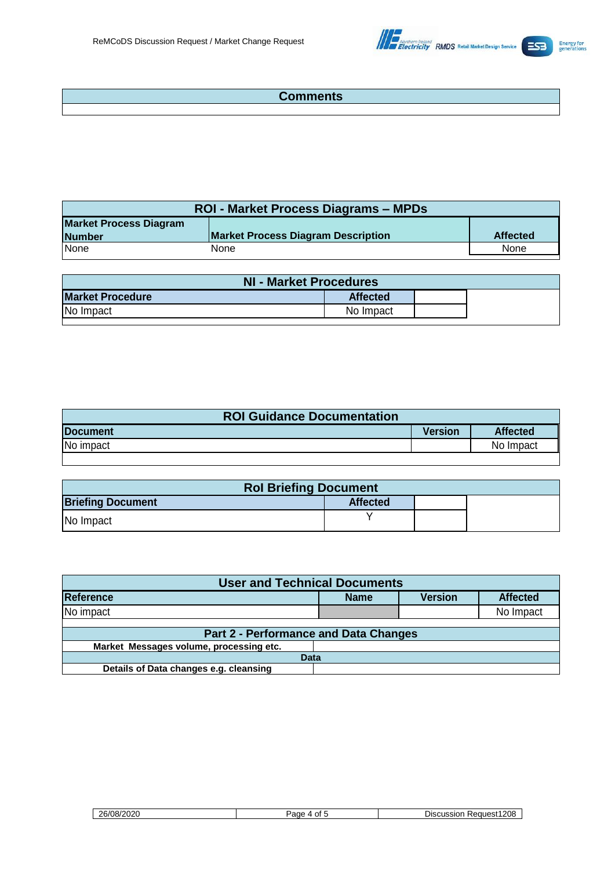

# **Comments**

| <b>ROI - Market Process Diagrams – MPDs</b> |                                           |                 |  |  |  |
|---------------------------------------------|-------------------------------------------|-----------------|--|--|--|
| <b>Market Process Diagram</b>               | <b>Market Process Diagram Description</b> | <b>Affected</b> |  |  |  |
| <b>Number</b>                               |                                           |                 |  |  |  |
| <b>None</b>                                 | None                                      | None            |  |  |  |

| NI - Market Procedures  |                 |  |
|-------------------------|-----------------|--|
| <b>Market Procedure</b> | <b>Affected</b> |  |
| No Impact               | No Impact       |  |

| <b>ROI Guidance Documentation</b> |         |                 |
|-----------------------------------|---------|-----------------|
| <b>IDocument</b>                  | Version | <b>Affected</b> |
| No impact                         |         | No Impact       |
|                                   |         |                 |

| <b>Rol Briefing Document</b> |                 |  |
|------------------------------|-----------------|--|
| <b>Briefing Document</b>     | <b>Affected</b> |  |
| No Impact                    |                 |  |

| <b>User and Technical Documents</b>          |             |                |                 |
|----------------------------------------------|-------------|----------------|-----------------|
| Reference                                    | <b>Name</b> | <b>Version</b> | <b>Affected</b> |
| No impact                                    |             |                | No Impact       |
|                                              |             |                |                 |
| <b>Part 2 - Performance and Data Changes</b> |             |                |                 |
| Market Messages volume, processing etc.      |             |                |                 |
| <b>Data</b>                                  |             |                |                 |
| Details of Data changes e.g. cleansing       |             |                |                 |